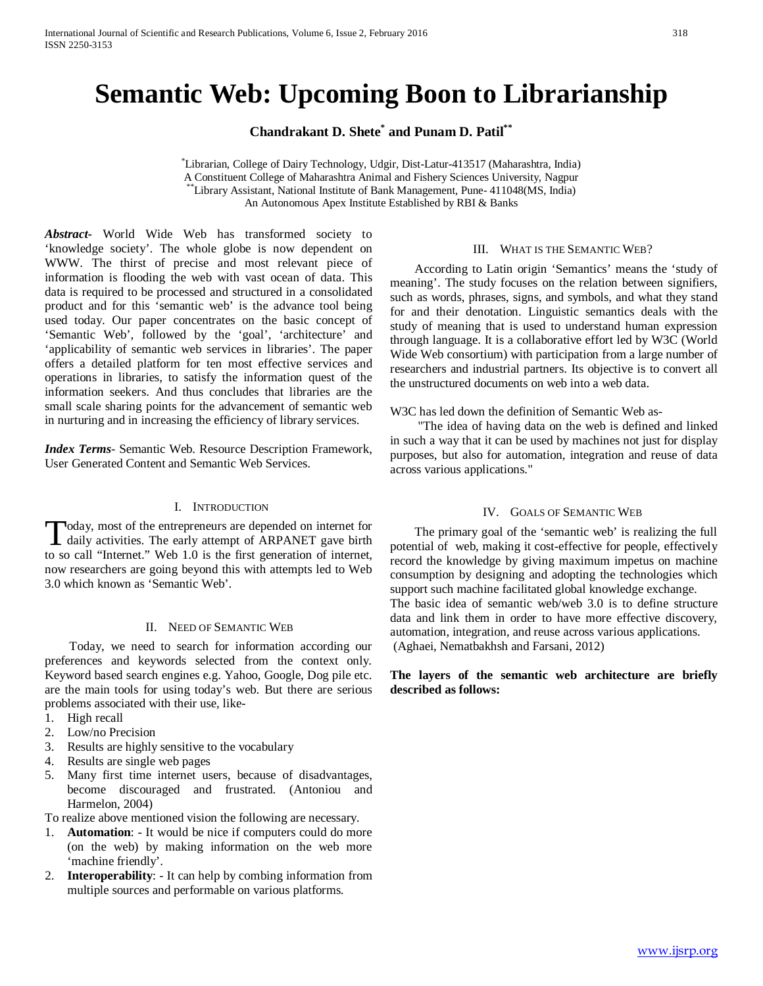# **Semantic Web: Upcoming Boon to Librarianship**

**Chandrakant D. Shete\* and Punam D. Patil\*\***

\* Librarian, College of Dairy Technology, Udgir, Dist-Latur-413517 (Maharashtra, India) A Constituent College of Maharashtra Animal and Fishery Sciences University, Nagpur \*\*Library Assistant, National Institute of Bank Management, Pune- 411048(MS, India) An Autonomous Apex Institute Established by RBI & Banks

*Abstract***-** World Wide Web has transformed society to 'knowledge society'. The whole globe is now dependent on WWW. The thirst of precise and most relevant piece of information is flooding the web with vast ocean of data. This data is required to be processed and structured in a consolidated product and for this 'semantic web' is the advance tool being used today. Our paper concentrates on the basic concept of 'Semantic Web', followed by the 'goal', 'architecture' and 'applicability of semantic web services in libraries'. The paper offers a detailed platform for ten most effective services and operations in libraries, to satisfy the information quest of the information seekers. And thus concludes that libraries are the small scale sharing points for the advancement of semantic web in nurturing and in increasing the efficiency of library services.

*Index Terms*- Semantic Web. Resource Description Framework, User Generated Content and Semantic Web Services.

## I. INTRODUCTION

oday, most of the entrepreneurs are depended on internet for Today, most of the entrepreneurs are depended on internet for<br>daily activities. The early attempt of ARPANET gave birth<br>the condition of the form of the form of the condition to so call "Internet." Web 1.0 is the first generation of internet, now researchers are going beyond this with attempts led to Web 3.0 which known as 'Semantic Web'.

#### II. NEED OF SEMANTIC WEB

 Today, we need to search for information according our preferences and keywords selected from the context only. Keyword based search engines e.g. Yahoo, Google, Dog pile etc. are the main tools for using today's web. But there are serious problems associated with their use, like-

- 1. High recall
- 2. Low/no Precision
- 3. Results are highly sensitive to the vocabulary
- 4. Results are single web pages
- 5. Many first time internet users, because of disadvantages, become discouraged and frustrated. (Antoniou and Harmelon, 2004)
- To realize above mentioned vision the following are necessary.
- 1. **Automation**: It would be nice if computers could do more (on the web) by making information on the web more 'machine friendly'.
- 2. **Interoperability**: It can help by combing information from multiple sources and performable on various platforms.

#### III. WHAT IS THE SEMANTIC WEB?

 According to Latin origin 'Semantics' means the 'study of meaning'. The study focuses on the relation between signifiers, such as words, phrases, signs, and symbols, and what they stand for and their denotation. Linguistic semantics deals with the study of meaning that is used to understand human expression through language. It is a collaborative effort led by W3C (World Wide Web consortium) with participation from a large number of researchers and industrial partners. Its objective is to convert all the unstructured documents on web into a web data.

W<sub>3</sub>C has led down the definition of Semantic Web as-

 "The idea of having data on the web is defined and linked in such a way that it can be used by machines not just for display purposes, but also for automation, integration and reuse of data across various applications."

#### IV. GOALS OF SEMANTIC WEB

 The primary goal of the 'semantic web' is realizing the full potential of web, making it cost-effective for people, effectively record the knowledge by giving maximum impetus on machine consumption by designing and adopting the technologies which support such machine facilitated global knowledge exchange. The basic idea of semantic web/web 3.0 is to define structure data and link them in order to have more effective discovery, automation, integration, and reuse across various applications. (Aghaei, Nematbakhsh and Farsani, 2012)

## **The layers of the semantic web architecture are briefly described as follows:**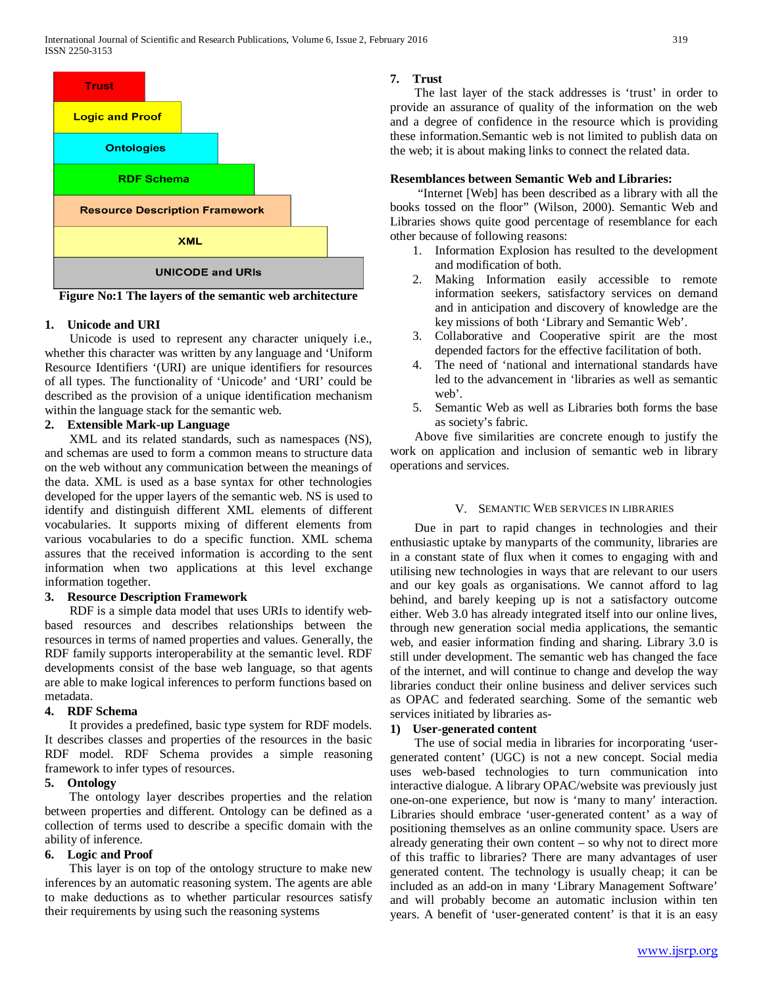

**Figure No:1 The layers of the semantic web architecture**

## **1. Unicode and URI**

 Unicode is used to represent any character uniquely i.e., whether this character was written by any language and 'Uniform Resource Identifiers '(URI) are unique identifiers for resources of all types. The functionality of 'Unicode' and 'URI' could be described as the provision of a unique identification mechanism within the language stack for the semantic web.

# **2. Extensible Mark-up Language**

 XML and its related standards, such as namespaces (NS), and schemas are used to form a common means to structure data on the web without any communication between the meanings of the data. XML is used as a base syntax for other technologies developed for the upper layers of the semantic web. NS is used to identify and distinguish different XML elements of different vocabularies. It supports mixing of different elements from various vocabularies to do a specific function. XML schema assures that the received information is according to the sent information when two applications at this level exchange information together.

# **3. Resource Description Framework**

 RDF is a simple data model that uses URIs to identify webbased resources and describes relationships between the resources in terms of named properties and values. Generally, the RDF family supports interoperability at the semantic level. RDF developments consist of the base web language, so that agents are able to make logical inferences to perform functions based on metadata.

# **4. RDF Schema**

 It provides a predefined, basic type system for RDF models. It describes classes and properties of the resources in the basic RDF model. RDF Schema provides a simple reasoning framework to infer types of resources.

## **5. Ontology**

 The ontology layer describes properties and the relation between properties and different. Ontology can be defined as a collection of terms used to describe a specific domain with the ability of inference.

# **6. Logic and Proof**

 This layer is on top of the ontology structure to make new inferences by an automatic reasoning system. The agents are able to make deductions as to whether particular resources satisfy their requirements by using such the reasoning systems

# **7. Trust**

 The last layer of the stack addresses is 'trust' in order to provide an assurance of quality of the information on the web and a degree of confidence in the resource which is providing these information.Semantic web is not limited to publish data on the web; it is about making links to connect the related data.

## **Resemblances between Semantic Web and Libraries:**

 "Internet [Web] has been described as a library with all the books tossed on the floor" (Wilson, 2000). Semantic Web and Libraries shows quite good percentage of resemblance for each other because of following reasons:

- 1. Information Explosion has resulted to the development and modification of both.
- 2. Making Information easily accessible to remote information seekers, satisfactory services on demand and in anticipation and discovery of knowledge are the key missions of both 'Library and Semantic Web'.
- 3. Collaborative and Cooperative spirit are the most depended factors for the effective facilitation of both.
- 4. The need of 'national and international standards have led to the advancement in 'libraries as well as semantic web'.
- 5. Semantic Web as well as Libraries both forms the base as society's fabric.

 Above five similarities are concrete enough to justify the work on application and inclusion of semantic web in library operations and services.

## V. SEMANTIC WEB SERVICES IN LIBRARIES

 Due in part to rapid changes in technologies and their enthusiastic uptake by manyparts of the community, libraries are in a constant state of flux when it comes to engaging with and utilising new technologies in ways that are relevant to our users and our key goals as organisations. We cannot afford to lag behind, and barely keeping up is not a satisfactory outcome either. Web 3.0 has already integrated itself into our online lives, through new generation social media applications, the semantic web, and easier information finding and sharing. Library 3.0 is still under development. The semantic web has changed the face of the internet, and will continue to change and develop the way libraries conduct their online business and deliver services such as OPAC and federated searching. Some of the semantic web services initiated by libraries as-

# **1) User-generated content**

 The use of social media in libraries for incorporating 'usergenerated content' (UGC) is not a new concept. Social media uses web-based technologies to turn communication into interactive dialogue. A library OPAC/website was previously just one-on-one experience, but now is 'many to many' interaction. Libraries should embrace 'user-generated content' as a way of positioning themselves as an online community space. Users are already generating their own content – so why not to direct more of this traffic to libraries? There are many advantages of user generated content. The technology is usually cheap; it can be included as an add-on in many 'Library Management Software' and will probably become an automatic inclusion within ten years. A benefit of 'user-generated content' is that it is an easy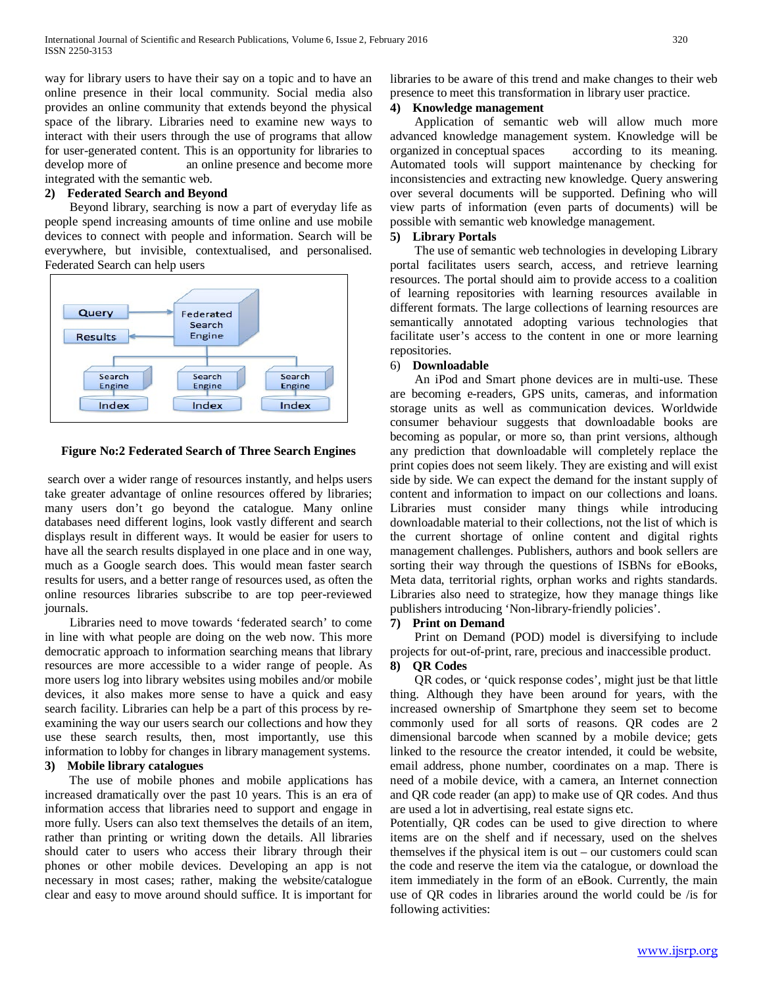way for library users to have their say on a topic and to have an online presence in their local community. Social media also provides an online community that extends beyond the physical space of the library. Libraries need to examine new ways to interact with their users through the use of programs that allow for user-generated content. This is an opportunity for libraries to develop more of an online presence and become more integrated with the semantic web.

## **2) Federated Search and Beyond**

 Beyond library, searching is now a part of everyday life as people spend increasing amounts of time online and use mobile devices to connect with people and information. Search will be everywhere, but invisible, contextualised, and personalised. Federated Search can help users



## **Figure No:2 Federated Search of Three Search Engines**

search over a wider range of resources instantly, and helps users take greater advantage of online resources offered by libraries; many users don't go beyond the catalogue. Many online databases need different logins, look vastly different and search displays result in different ways. It would be easier for users to have all the search results displayed in one place and in one way, much as a Google search does. This would mean faster search results for users, and a better range of resources used, as often the online resources libraries subscribe to are top peer-reviewed journals.

 Libraries need to move towards 'federated search' to come in line with what people are doing on the web now. This more democratic approach to information searching means that library resources are more accessible to a wider range of people. As more users log into library websites using mobiles and/or mobile devices, it also makes more sense to have a quick and easy search facility. Libraries can help be a part of this process by reexamining the way our users search our collections and how they use these search results, then, most importantly, use this information to lobby for changes in library management systems.

# **3) Mobile library catalogues**

 The use of mobile phones and mobile applications has increased dramatically over the past 10 years. This is an era of information access that libraries need to support and engage in more fully. Users can also text themselves the details of an item, rather than printing or writing down the details. All libraries should cater to users who access their library through their phones or other mobile devices. Developing an app is not necessary in most cases; rather, making the website/catalogue clear and easy to move around should suffice. It is important for

libraries to be aware of this trend and make changes to their web presence to meet this transformation in library user practice.

## **4) Knowledge management**

 Application of semantic web will allow much more advanced knowledge management system. Knowledge will be organized in conceptual spaces according to its meaning. Automated tools will support maintenance by checking for inconsistencies and extracting new knowledge. Query answering over several documents will be supported. Defining who will view parts of information (even parts of documents) will be possible with semantic web knowledge management.

#### **5) Library Portals**

 The use of semantic web technologies in developing Library portal facilitates users search, access, and retrieve learning resources. The portal should aim to provide access to a coalition of learning repositories with learning resources available in different formats. The large collections of learning resources are semantically annotated adopting various technologies that facilitate user's access to the content in one or more learning repositories.

## 6) **Downloadable**

 An iPod and Smart phone devices are in multi-use. These are becoming e-readers, GPS units, cameras, and information storage units as well as communication devices. Worldwide consumer behaviour suggests that downloadable books are becoming as popular, or more so, than print versions, although any prediction that downloadable will completely replace the print copies does not seem likely. They are existing and will exist side by side. We can expect the demand for the instant supply of content and information to impact on our collections and loans. Libraries must consider many things while introducing downloadable material to their collections, not the list of which is the current shortage of online content and digital rights management challenges. Publishers, authors and book sellers are sorting their way through the questions of ISBNs for eBooks, Meta data, territorial rights, orphan works and rights standards. Libraries also need to strategize, how they manage things like publishers introducing 'Non-library-friendly policies'.

## **7) Print on Demand**

 Print on Demand (POD) model is diversifying to include projects for out-of-print, rare, precious and inaccessible product. **8) QR Codes**

# QR codes, or 'quick response codes', might just be that little thing. Although they have been around for years, with the increased ownership of Smartphone they seem set to become commonly used for all sorts of reasons. QR codes are 2 dimensional barcode when scanned by a mobile device; gets linked to the resource the creator intended, it could be website, email address, phone number, coordinates on a map. There is need of a mobile device, with a camera, an Internet connection and QR code reader (an app) to make use of QR codes. And thus

are used a lot in advertising, real estate signs etc. Potentially, QR codes can be used to give direction to where items are on the shelf and if necessary, used on the shelves themselves if the physical item is out – our customers could scan the code and reserve the item via the catalogue, or download the item immediately in the form of an eBook. Currently, the main use of QR codes in libraries around the world could be /is for following activities: